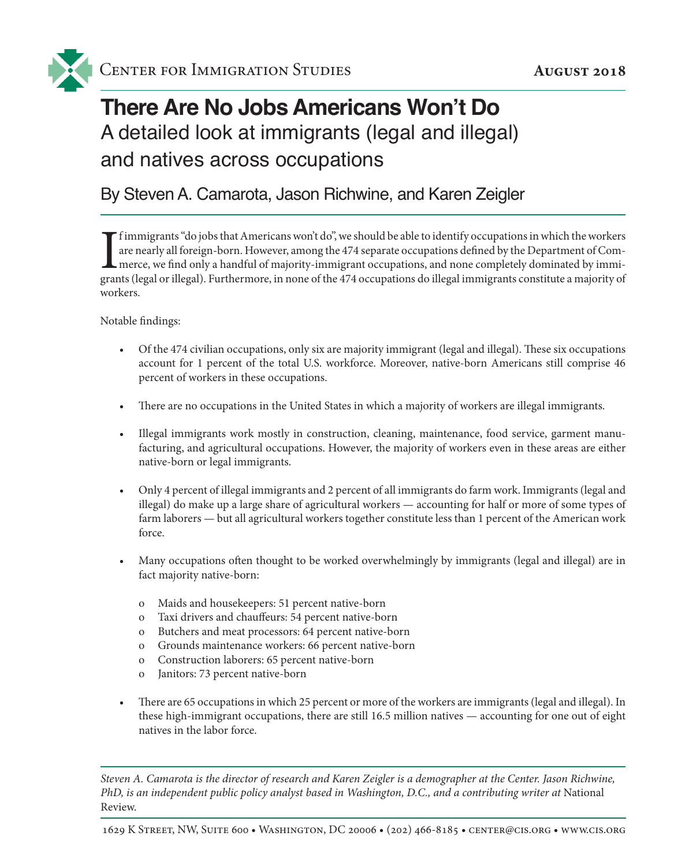

# **There Are No Jobs Americans Won't Do** A detailed look at immigrants (legal and illegal) and natives across occupations

#### By Steven A. Camarota, Jason Richwine, and Karen Zeigler

If immigrants "do jobs that Americans won't do", we should be able to identify occupations in which the workers are nearly all foreign-born. However, among the 474 separate occupations defined by the Department of Commerce f immigrants "do jobs that Americans won't do", we should be able to identify occupations in which the workers are nearly all foreign-born. However, among the 474 separate occupations defined by the Department of Commerce, we find only a handful of majority-immigrant occupations, and none completely dominated by immiworkers.

Notable findings:

- • Of the 474 civilian occupations, only six are majority immigrant (legal and illegal). These six occupations account for 1 percent of the total U.S. workforce. Moreover, native-born Americans still comprise 46 percent of workers in these occupations.
- • There are no occupations in the United States in which a majority of workers are illegal immigrants.
- • Illegal immigrants work mostly in construction, cleaning, maintenance, food service, garment manufacturing, and agricultural occupations. However, the majority of workers even in these areas are either native-born or legal immigrants.
- Only 4 percent of illegal immigrants and 2 percent of all immigrants do farm work. Immigrants (legal and illegal) do make up a large share of agricultural workers — accounting for half or more of some types of farm laborers — but all agricultural workers together constitute less than 1 percent of the American work force.
- • Many occupations often thought to be worked overwhelmingly by immigrants (legal and illegal) are in fact majority native-born:
	- o Maids and housekeepers: 51 percent native-born
	- o Taxi drivers and chauffeurs: 54 percent native-born
	- o Butchers and meat processors: 64 percent native-born
	- o Grounds maintenance workers: 66 percent native-born
	- o Construction laborers: 65 percent native-born
	- o Janitors: 73 percent native-born
- There are 65 occupations in which 25 percent or more of the workers are immigrants (legal and illegal). In these high-immigrant occupations, there are still 16.5 million natives — accounting for one out of eight natives in the labor force.

*Steven A. Camarota is the director of research and Karen Zeigler is a demographer at the Center. Jason Richwine, PhD, is an independent public policy analyst based in Washington, D.C., and a contributing writer at* National Review.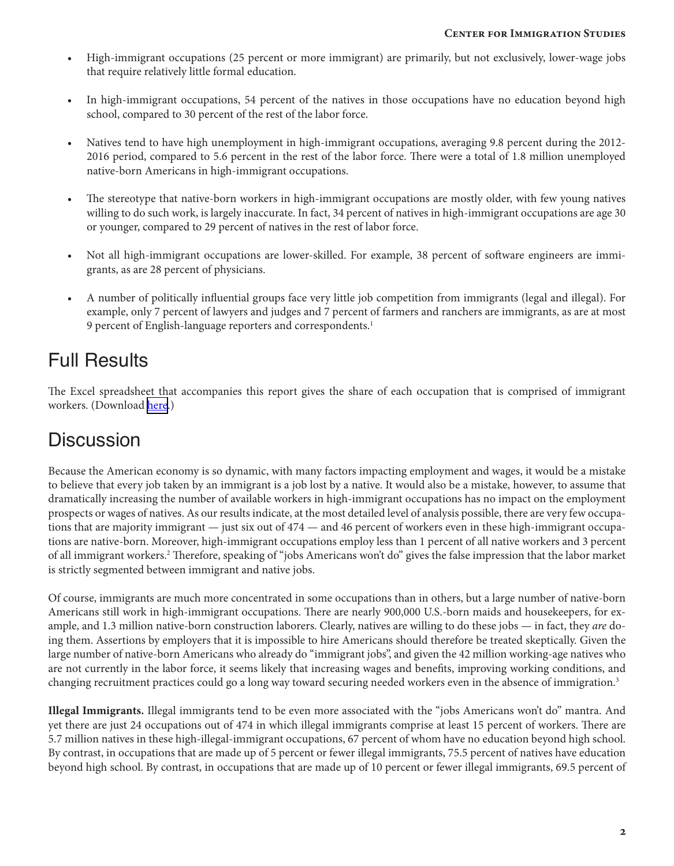- • High-immigrant occupations (25 percent or more immigrant) are primarily, but not exclusively, lower-wage jobs that require relatively little formal education.
- In high-immigrant occupations, 54 percent of the natives in those occupations have no education beyond high school, compared to 30 percent of the rest of the labor force.
- • Natives tend to have high unemployment in high-immigrant occupations, averaging 9.8 percent during the 2012- 2016 period, compared to 5.6 percent in the rest of the labor force. There were a total of 1.8 million unemployed native-born Americans in high-immigrant occupations.
- • The stereotype that native-born workers in high-immigrant occupations are mostly older, with few young natives willing to do such work, is largely inaccurate. In fact, 34 percent of natives in high-immigrant occupations are age 30 or younger, compared to 29 percent of natives in the rest of labor force.
- Not all high-immigrant occupations are lower-skilled. For example, 38 percent of software engineers are immigrants, as are 28 percent of physicians.
- • A number of politically influential groups face very little job competition from immigrants (legal and illegal). For example, only 7 percent of lawyers and judges and 7 percent of farmers and ranchers are immigrants, as are at most 9 percent of English-language reporters and correspondents.<sup>1</sup>

## Full Results

The Excel spreadsheet that accompanies this report gives the share of each occupation that is comprised of immigrant workers. (Download [here.](Immigrant_and_Native_Share_Occupations_3.xlsx))

### **Discussion**

Because the American economy is so dynamic, with many factors impacting employment and wages, it would be a mistake to believe that every job taken by an immigrant is a job lost by a native. It would also be a mistake, however, to assume that dramatically increasing the number of available workers in high-immigrant occupations has no impact on the employment prospects or wages of natives. As our results indicate, at the most detailed level of analysis possible, there are very few occupations that are majority immigrant — just six out of 474 — and 46 percent of workers even in these high-immigrant occupations are native-born. Moreover, high-immigrant occupations employ less than 1 percent of all native workers and 3 percent of all immigrant workers.<sup>2</sup> Therefore, speaking of "jobs Americans won't do" gives the false impression that the labor market is strictly segmented between immigrant and native jobs.

Of course, immigrants are much more concentrated in some occupations than in others, but a large number of native-born Americans still work in high-immigrant occupations. There are nearly 900,000 U.S.-born maids and housekeepers, for example, and 1.3 million native-born construction laborers. Clearly, natives are willing to do these jobs — in fact, they *are* doing them. Assertions by employers that it is impossible to hire Americans should therefore be treated skeptically. Given the large number of native-born Americans who already do "immigrant jobs", and given the 42 million working-age natives who are not currently in the labor force, it seems likely that increasing wages and benefits, improving working conditions, and changing recruitment practices could go a long way toward securing needed workers even in the absence of immigration.3

**Illegal Immigrants.** Illegal immigrants tend to be even more associated with the "jobs Americans won't do" mantra. And yet there are just 24 occupations out of 474 in which illegal immigrants comprise at least 15 percent of workers. There are 5.7 million natives in these high-illegal-immigrant occupations, 67 percent of whom have no education beyond high school. By contrast, in occupations that are made up of 5 percent or fewer illegal immigrants, 75.5 percent of natives have education beyond high school. By contrast, in occupations that are made up of 10 percent or fewer illegal immigrants, 69.5 percent of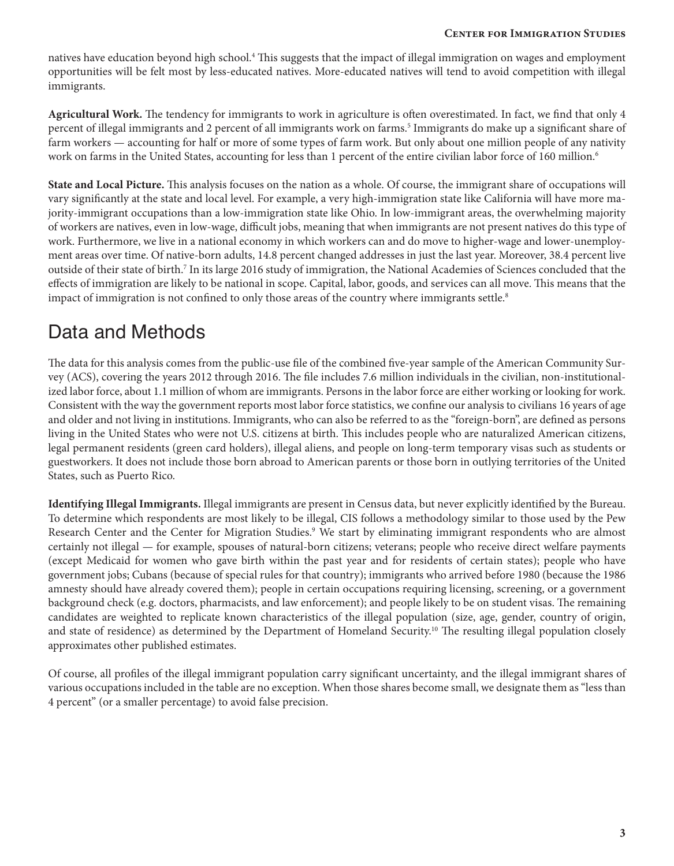natives have education beyond high school.4 This suggests that the impact of illegal immigration on wages and employment opportunities will be felt most by less-educated natives. More-educated natives will tend to avoid competition with illegal immigrants.

**Agricultural Work.** The tendency for immigrants to work in agriculture is often overestimated. In fact, we find that only 4 percent of illegal immigrants and 2 percent of all immigrants work on farms.<sup>5</sup> Immigrants do make up a significant share of farm workers — accounting for half or more of some types of farm work. But only about one million people of any nativity work on farms in the United States, accounting for less than 1 percent of the entire civilian labor force of 160 million.<sup>6</sup>

**State and Local Picture.** This analysis focuses on the nation as a whole. Of course, the immigrant share of occupations will vary significantly at the state and local level. For example, a very high-immigration state like California will have more majority-immigrant occupations than a low-immigration state like Ohio. In low-immigrant areas, the overwhelming majority of workers are natives, even in low-wage, difficult jobs, meaning that when immigrants are not present natives do this type of work. Furthermore, we live in a national economy in which workers can and do move to higher-wage and lower-unemployment areas over time. Of native-born adults, 14.8 percent changed addresses in just the last year. Moreover, 38.4 percent live outside of their state of birth.7 In its large 2016 study of immigration, the National Academies of Sciences concluded that the effects of immigration are likely to be national in scope. Capital, labor, goods, and services can all move. This means that the impact of immigration is not confined to only those areas of the country where immigrants settle.<sup>8</sup>

## Data and Methods

The data for this analysis comes from the public-use file of the combined five-year sample of the American Community Survey (ACS), covering the years 2012 through 2016. The file includes 7.6 million individuals in the civilian, non-institutionalized labor force, about 1.1 million of whom are immigrants. Persons in the labor force are either working or looking for work. Consistent with the way the government reports most labor force statistics, we confine our analysis to civilians 16 years of age and older and not living in institutions. Immigrants, who can also be referred to as the "foreign-born", are defined as persons living in the United States who were not U.S. citizens at birth. This includes people who are naturalized American citizens, legal permanent residents (green card holders), illegal aliens, and people on long-term temporary visas such as students or guestworkers. It does not include those born abroad to American parents or those born in outlying territories of the United States, such as Puerto Rico.

**Identifying Illegal Immigrants.** Illegal immigrants are present in Census data, but never explicitly identified by the Bureau. To determine which respondents are most likely to be illegal, CIS follows a methodology similar to those used by the Pew Research Center and the Center for Migration Studies.<sup>9</sup> We start by eliminating immigrant respondents who are almost certainly not illegal — for example, spouses of natural-born citizens; veterans; people who receive direct welfare payments (except Medicaid for women who gave birth within the past year and for residents of certain states); people who have government jobs; Cubans (because of special rules for that country); immigrants who arrived before 1980 (because the 1986 amnesty should have already covered them); people in certain occupations requiring licensing, screening, or a government background check (e.g. doctors, pharmacists, and law enforcement); and people likely to be on student visas. The remaining candidates are weighted to replicate known characteristics of the illegal population (size, age, gender, country of origin, and state of residence) as determined by the Department of Homeland Security.<sup>10</sup> The resulting illegal population closely approximates other published estimates.

Of course, all profiles of the illegal immigrant population carry significant uncertainty, and the illegal immigrant shares of various occupations included in the table are no exception. When those shares become small, we designate them as"less than 4 percent" (or a smaller percentage) to avoid false precision.